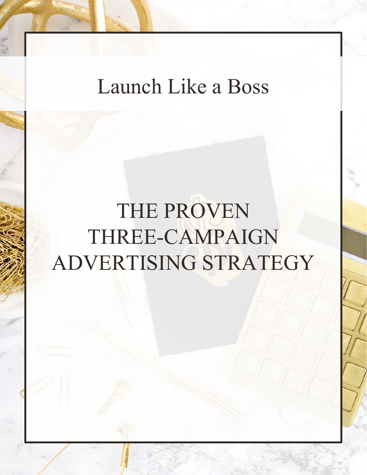### Launch Like a Boss

# THE PROVEN THREE-CAMPAIGN ADVERTISING STRATEGY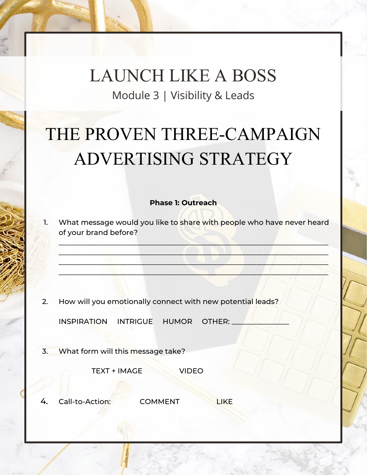#### LAUNCH LIKE A BOSS Module 3 | Visibility & Leads

## THE PROVEN THREE-CAMPAIGN ADVERTISING STRATEGY

#### **Phase 1: Outreach**

1. What message would you like to share with people who have never heard of your brand before?

\_\_\_\_\_\_\_\_\_\_\_\_\_\_\_\_\_\_\_\_\_\_\_\_\_\_\_\_\_\_\_\_\_\_\_\_\_\_\_\_\_\_\_\_\_\_\_\_\_\_\_\_\_\_\_\_\_\_\_\_\_\_\_\_\_\_\_\_\_\_\_\_\_\_\_  $\Box$  $\Box$  $\Box$ 

2. How will you emotionally connect with new potential leads?

INSPIRATION INTRIGUE HUMOR OTHER:

3. What form will this message take?

TEXT + IMAGE VIDEO

4. Call-to-Action: COMMENT LIKE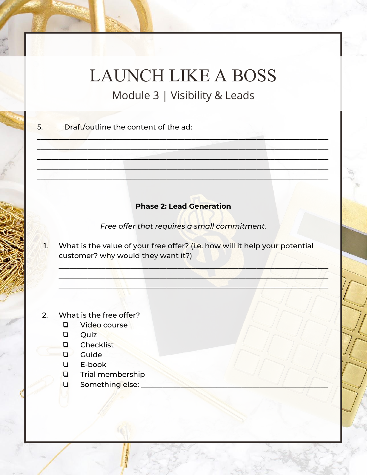## **LAUNCH LIKE A BOSS**

Module 3 | Visibility & Leads

Draft/outline the content of the ad: 5.

#### **Phase 2: Lead Generation**

Free offer that requires a small commitment.

What is the value of your free offer? (i.e. how will it help your potential T. customer? why would they want it?)

What is the free offer?  $2<sub>1</sub>$ 

- Video course  $\Box$
- Quiz  $\Box$
- $\Box$ Checklist
- $\Box$  Guide
- $\Box$ E-book
- Trial membership  $\Box$
- Something else:  $\Box$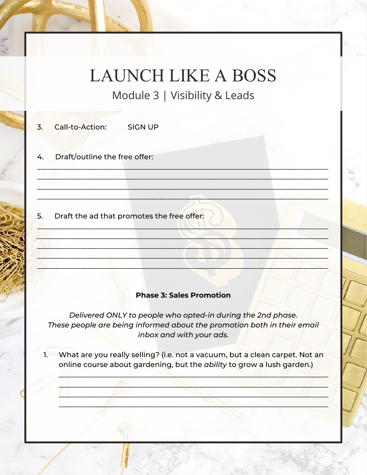## **LAUNCH LIKE A BOSS**

Module 3 | Visibility & Leads

| 4. | Draft/outline the free offer: |         |
|----|-------------------------------|---------|
| 3. | Call-to-Action:               | SIGN UP |

#### 5. Draft the ad that promotes the free offer:

#### **Phase 3: Sales Promotion**

Delivered ONLY to people who opted-in during the 2nd phase. These people are being informed about the promotion both in their email inbox and with your ads.

1. What are you really selling? (i.e. not a vacuum, but a clean carpet. Not an online course about gardening, but the ability to grow a lush garden.)